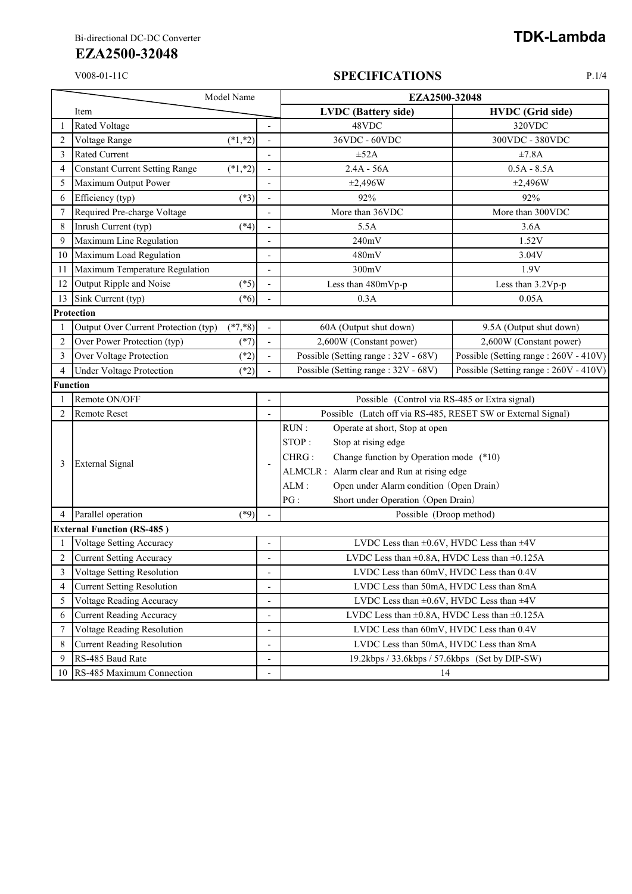## **EZA2500-32048**

## V008-01-11C **SPECIFICATIONS** P.1/4

| Model Name     |                                       |            |                          | EZA2500-32048                                                |                                        |  |  |
|----------------|---------------------------------------|------------|--------------------------|--------------------------------------------------------------|----------------------------------------|--|--|
|                | Item                                  |            |                          | <b>LVDC</b> (Battery side)                                   | <b>HVDC</b> (Grid side)                |  |  |
|                | <b>Rated Voltage</b>                  |            |                          | 48VDC                                                        | 320VDC                                 |  |  |
| $\overline{2}$ | Voltage Range                         | $(*1, *2)$ |                          | 36VDC - 60VDC                                                | 300VDC - 380VDC                        |  |  |
| 3              | <b>Rated Current</b>                  |            |                          | $\pm 52A$                                                    | ±7.8A                                  |  |  |
| $\overline{4}$ | <b>Constant Current Setting Range</b> | $(*1, *2)$ | ÷,                       | $2.4A - 56A$                                                 | $0.5A - 8.5A$                          |  |  |
| 5              | Maximum Output Power                  |            |                          | ±2,496W                                                      | ±2,496W                                |  |  |
| 6              | Efficiency (typ)                      | $(*3)$     |                          | 92%                                                          | 92%                                    |  |  |
| 7              | Required Pre-charge Voltage           |            |                          | More than 36VDC                                              | More than 300VDC                       |  |  |
| 8              | Inrush Current (typ)                  | $(*4)$     |                          | 5.5A                                                         | 3.6A                                   |  |  |
| 9              | Maximum Line Regulation               |            |                          | 240mV                                                        | 1.52V                                  |  |  |
| 10             | Maximum Load Regulation               |            |                          | 480mV                                                        | 3.04V                                  |  |  |
| 11             | Maximum Temperature Regulation        |            | ÷,                       | 300mV                                                        | 1.9V                                   |  |  |
| 12             | Output Ripple and Noise               | $(*5)$     |                          | Less than 480mVp-p                                           | Less than 3.2Vp-p                      |  |  |
| 13             | Sink Current (typ)                    | $(*6)$     |                          | 0.3A                                                         | 0.05A                                  |  |  |
|                | Protection                            |            |                          |                                                              |                                        |  |  |
|                | Output Over Current Protection (typ)  | $(*7, *8)$ |                          | 60A (Output shut down)                                       | 9.5A (Output shut down)                |  |  |
| $\overline{2}$ | Over Power Protection (typ)           | $(*7)$     |                          | 2,600W (Constant power)                                      | 2,600W (Constant power)                |  |  |
| 3              | Over Voltage Protection               | $(*2)$     |                          | Possible (Setting range: 32V - 68V)                          | Possible (Setting range : 260V - 410V) |  |  |
| $\overline{4}$ | <b>Under Voltage Protection</b>       | $(*2)$     |                          | Possible (Setting range: 32V - 68V)                          | Possible (Setting range: 260V - 410V)  |  |  |
|                | <b>Function</b>                       |            |                          |                                                              |                                        |  |  |
|                | Remote ON/OFF                         |            |                          | Possible (Control via RS-485 or Extra signal)                |                                        |  |  |
| $\overline{2}$ | Remote Reset                          |            |                          | Possible (Latch off via RS-485, RESET SW or External Signal) |                                        |  |  |
|                | <b>External Signal</b>                |            | ÷,                       | RUN:<br>Operate at short, Stop at open                       |                                        |  |  |
|                |                                       |            |                          | STOP:<br>Stop at rising edge                                 |                                        |  |  |
| 3              |                                       |            |                          | Change function by Operation mode (*10)<br>CHRG:             |                                        |  |  |
|                |                                       |            |                          | ALMCLR : Alarm clear and Run at rising edge                  |                                        |  |  |
|                |                                       |            |                          | Open under Alarm condition (Open Drain)<br>ALM:              |                                        |  |  |
|                |                                       |            |                          | PG:<br>Short under Operation (Open Drain)                    |                                        |  |  |
|                | Parallel operation                    | $(*9)$     |                          | Possible (Droop method)                                      |                                        |  |  |
|                | <b>External Function (RS-485)</b>     |            |                          |                                                              |                                        |  |  |
|                | <b>Voltage Setting Accuracy</b>       |            | $\overline{a}$           | LVDC Less than $\pm 0.6V$ , HVDC Less than $\pm 4V$          |                                        |  |  |
| 2              | Current Setting Accuracy              |            |                          | LVDC Less than $\pm 0.8$ A, HVDC Less than $\pm 0.125$ A     |                                        |  |  |
| 3              | <b>Voltage Setting Resolution</b>     |            |                          | LVDC Less than 60mV, HVDC Less than 0.4V                     |                                        |  |  |
| 4              | <b>Current Setting Resolution</b>     |            | $\overline{a}$           | LVDC Less than 50mA, HVDC Less than 8mA                      |                                        |  |  |
| 5              | Voltage Reading Accuracy              |            | $\overline{\phantom{a}}$ | LVDC Less than $\pm 0.6V$ , HVDC Less than $\pm 4V$          |                                        |  |  |
| 6              | <b>Current Reading Accuracy</b>       |            | $\overline{\phantom{a}}$ | LVDC Less than $\pm 0.8$ A, HVDC Less than $\pm 0.125$ A     |                                        |  |  |
| 7              | Voltage Reading Resolution            |            | $\overline{\phantom{a}}$ | LVDC Less than 60mV, HVDC Less than 0.4V                     |                                        |  |  |
| 8              | <b>Current Reading Resolution</b>     |            |                          | LVDC Less than 50mA, HVDC Less than 8mA                      |                                        |  |  |
| 9              | RS-485 Baud Rate                      |            | $\overline{\phantom{a}}$ | 19.2kbps / 33.6kbps / 57.6kbps (Set by DIP-SW)               |                                        |  |  |
| 10             | RS-485 Maximum Connection             |            |                          | 14                                                           |                                        |  |  |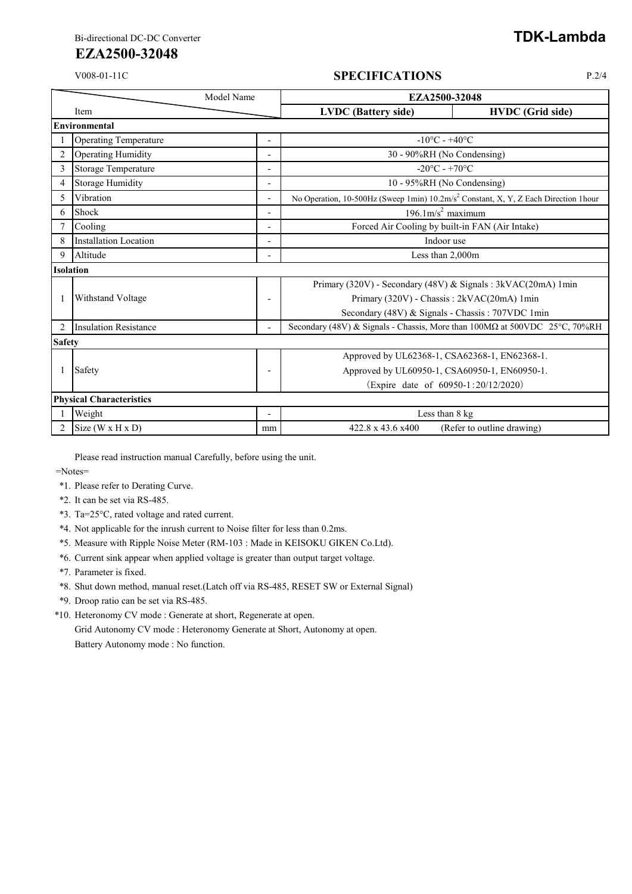## **EZA2500-32048**

## V008-01-11C **SPECIFICATIONS** P.2/4

| Model Name       |                                 |                          | EZA2500-32048                     |                                                                                                 |  |  |
|------------------|---------------------------------|--------------------------|-----------------------------------|-------------------------------------------------------------------------------------------------|--|--|
|                  | Item                            |                          | <b>LVDC</b> (Battery side)        | <b>HVDC</b> (Grid side)                                                                         |  |  |
|                  | Environmental                   |                          |                                   |                                                                                                 |  |  |
|                  | <b>Operating Temperature</b>    |                          | $-10^{\circ}$ C - $+40^{\circ}$ C |                                                                                                 |  |  |
| $\overline{2}$   | <b>Operating Humidity</b>       |                          | 30 - 90%RH (No Condensing)        |                                                                                                 |  |  |
| 3                | Storage Temperature             |                          |                                   | $-20^{\circ}$ C - $+70^{\circ}$ C                                                               |  |  |
| 4                | <b>Storage Humidity</b>         |                          |                                   | 10 - 95%RH (No Condensing)                                                                      |  |  |
| 5                | Vibration                       | $\overline{\phantom{a}}$ |                                   | No Operation, 10-500Hz (Sweep 1min) 10.2m/s <sup>2</sup> Constant, X, Y, Z Each Direction 1hour |  |  |
| 6                | Shock                           |                          |                                   | $196.1 \text{m/s}^2$ maximum                                                                    |  |  |
|                  | Cooling                         |                          |                                   | Forced Air Cooling by built-in FAN (Air Intake)                                                 |  |  |
|                  | <b>Installation Location</b>    |                          |                                   | Indoor use                                                                                      |  |  |
| 9                | Altitude                        |                          |                                   | Less than 2,000m                                                                                |  |  |
| <b>Isolation</b> |                                 |                          |                                   |                                                                                                 |  |  |
|                  |                                 |                          |                                   | Primary (320V) - Secondary (48V) & Signals: 3kVAC(20mA) 1min                                    |  |  |
|                  | <b>Withstand Voltage</b>        |                          |                                   | Primary (320V) - Chassis: 2kVAC(20mA) 1min                                                      |  |  |
|                  |                                 |                          |                                   | Secondary (48V) & Signals - Chassis: 707VDC 1min                                                |  |  |
| 2                | <b>Insulation Resistance</b>    |                          |                                   | Secondary (48V) & Signals - Chassis, More than 100MΩ at 500VDC 25°C, 70%RH                      |  |  |
|                  | <b>Safety</b>                   |                          |                                   |                                                                                                 |  |  |
|                  |                                 |                          |                                   | Approved by UL62368-1, CSA62368-1, EN62368-1.                                                   |  |  |
|                  | Safety                          | $\overline{\phantom{0}}$ |                                   | Approved by UL60950-1, CSA60950-1, EN60950-1.                                                   |  |  |
|                  |                                 |                          |                                   | (Expire date of 60950-1:20/12/2020)                                                             |  |  |
|                  | <b>Physical Characteristics</b> |                          |                                   |                                                                                                 |  |  |
|                  | Weight                          |                          |                                   | Less than 8 kg                                                                                  |  |  |
| $\overline{c}$   | Size $(W \times H \times D)$    | mm                       | 422.8 x 43.6 x400                 | (Refer to outline drawing)                                                                      |  |  |

Please read instruction manual Carefully, before using the unit.

=Notes=

- \*1. Please refer to Derating Curve.
- \*2. It can be set via RS-485.
- \*3. Ta=25°C, rated voltage and rated current.
- \*4. Not applicable for the inrush current to Noise filter for less than 0.2ms.
- \*5. Measure with Ripple Noise Meter (RM-103 : Made in KEISOKU GIKEN Co.Ltd).
- \*6. Current sink appear when applied voltage is greater than output target voltage.
- \*7. Parameter is fixed.
- \*8. Shut down method, manual reset.(Latch off via RS-485, RESET SW or External Signal)
- \*9. Droop ratio can be set via RS-485.
- \*10. Heteronomy CV mode : Generate at short, Regenerate at open.

Grid Autonomy CV mode : Heteronomy Generate at Short, Autonomy at open. Battery Autonomy mode : No function.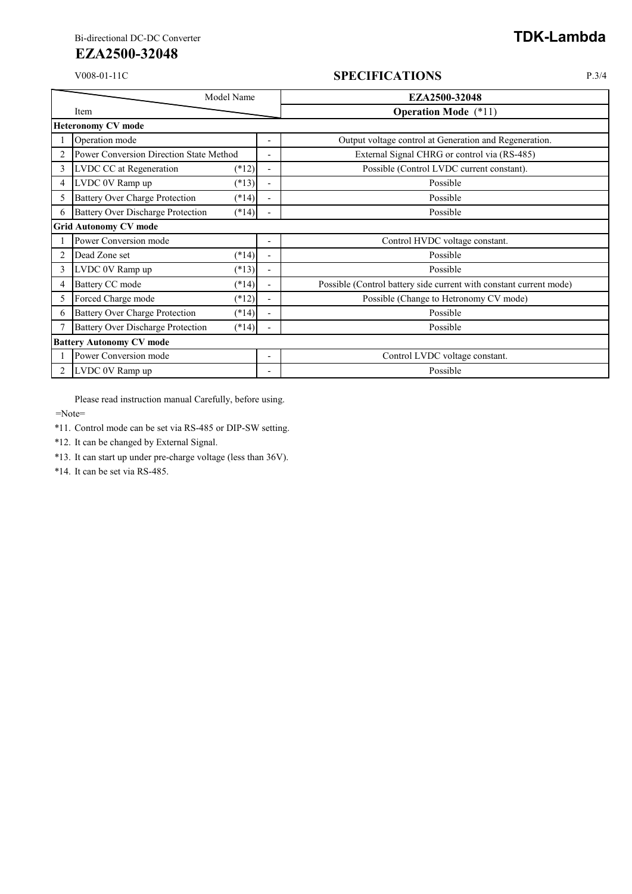# **EZA2500-32048**

### V008-01-11C **SPECIFICATIONS** P.3/4

| Model Name     |                                                     |                          | EZA2500-32048                                                      |  |
|----------------|-----------------------------------------------------|--------------------------|--------------------------------------------------------------------|--|
| Item           |                                                     |                          | <b>Operation Mode</b> (*11)                                        |  |
|                | <b>Heteronomy CV mode</b>                           |                          |                                                                    |  |
|                | Operation mode                                      | Ξ.                       | Output voltage control at Generation and Regeneration.             |  |
| 2              | <b>Power Conversion Direction State Method</b>      | $\overline{\phantom{0}}$ | External Signal CHRG or control via (RS-485)                       |  |
| 3              | LVDC CC at Regeneration<br>$(*12)$                  | ٠                        | Possible (Control LVDC current constant).                          |  |
| 4              | LVDC 0V Ramp up<br>$(*13)$                          | $\overline{\phantom{0}}$ | Possible                                                           |  |
| 5.             | <b>Battery Over Charge Protection</b><br>$(*14)$    | $\overline{a}$           | Possible                                                           |  |
| 6              | <b>Battery Over Discharge Protection</b><br>$(*14)$ |                          | Possible                                                           |  |
|                | <b>Grid Autonomy CV mode</b>                        |                          |                                                                    |  |
|                | Power Conversion mode                               | $\overline{\phantom{0}}$ | Control HVDC voltage constant.                                     |  |
| 2              | Dead Zone set<br>$(*14)$                            | $\blacksquare$           | Possible                                                           |  |
| 3              | LVDC 0V Ramp up<br>$(*13)$                          | $\overline{a}$           | Possible                                                           |  |
| 4              | <b>Battery CC mode</b><br>$(*14)$                   | $\overline{\phantom{0}}$ | Possible (Control battery side current with constant current mode) |  |
| 5              | Forced Charge mode<br>$(*12)$                       | $\overline{a}$           | Possible (Change to Hetronomy CV mode)                             |  |
| 6              | <b>Battery Over Charge Protection</b><br>$(*14)$    | $\overline{a}$           | Possible                                                           |  |
|                | <b>Battery Over Discharge Protection</b><br>$(*14)$ | $\overline{a}$           | Possible                                                           |  |
|                | <b>Battery Autonomy CV mode</b>                     |                          |                                                                    |  |
|                | Power Conversion mode                               | ۰                        | Control LVDC voltage constant.                                     |  |
| $\overline{2}$ | LVDC 0V Ramp up                                     | -                        | Possible                                                           |  |

Please read instruction manual Carefully, before using.

=Note=

\*11. Control mode can be set via RS-485 or DIP-SW setting.

\*12. It can be changed by External Signal.

\*13. It can start up under pre-charge voltage (less than 36V).

\*14. It can be set via RS-485.